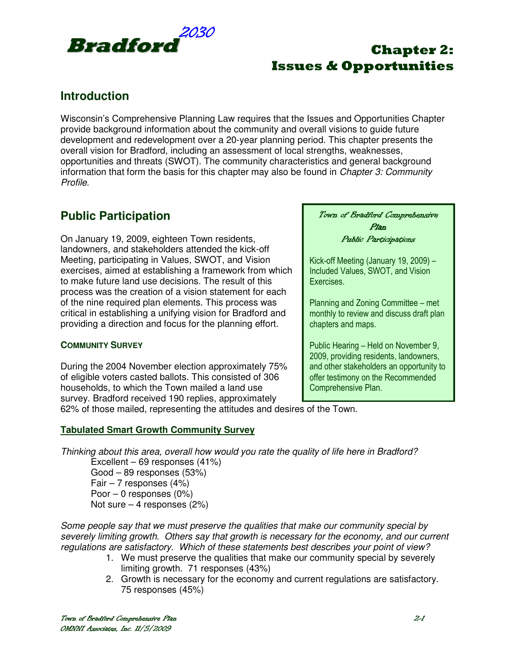

## **Introduction**

Wisconsin's Comprehensive Planning Law requires that the Issues and Opportunities Chapter provide background information about the community and overall visions to guide future development and redevelopment over a 20-year planning period. This chapter presents the overall vision for Bradford, including an assessment of local strengths, weaknesses, opportunities and threats (SWOT). The community characteristics and general background information that form the basis for this chapter may also be found in *Chapter 3: Community* Profile.

## **Public Participation**

On January 19, 2009, eighteen Town residents, landowners, and stakeholders attended the kick-off Meeting, participating in Values, SWOT, and Vision exercises, aimed at establishing a framework from which to make future land use decisions. The result of this process was the creation of a vision statement for each of the nine required plan elements. This process was critical in establishing a unifying vision for Bradford and providing a direction and focus for the planning effort.

### **COMMUNITY SURVEY**

During the 2004 November election approximately 75% of eligible voters casted ballots. This consisted of 306 households, to which the Town mailed a land use survey. Bradford received 190 replies, approximately

Town of Bradford Comprehensive Plan Public Participations

Kick-off Meeting (January 19, 2009) – Included Values, SWOT, and Vision Exercises.

Planning and Zoning Committee – met monthly to review and discuss draft plan chapters and maps.

Public Hearing – Held on November 9, 2009, providing residents, landowners, and other stakeholders an opportunity to offer testimony on the Recommended Comprehensive Plan.

62% of those mailed, representing the attitudes and desires of the Town.

### **Tabulated Smart Growth Community Survey**

Thinking about this area, overall how would you rate the quality of life here in Bradford?

Excellent – 69 responses (41%) Good – 89 responses (53%) Fair  $-7$  responses (4%) Poor – 0 responses (0%) Not sure – 4 responses (2%)

Some people say that we must preserve the qualities that make our community special by severely limiting growth. Others say that growth is necessary for the economy, and our current regulations are satisfactory. Which of these statements best describes your point of view?

- 1. We must preserve the qualities that make our community special by severely limiting growth. 71 responses (43%)
- 2. Growth is necessary for the economy and current regulations are satisfactory. 75 responses (45%)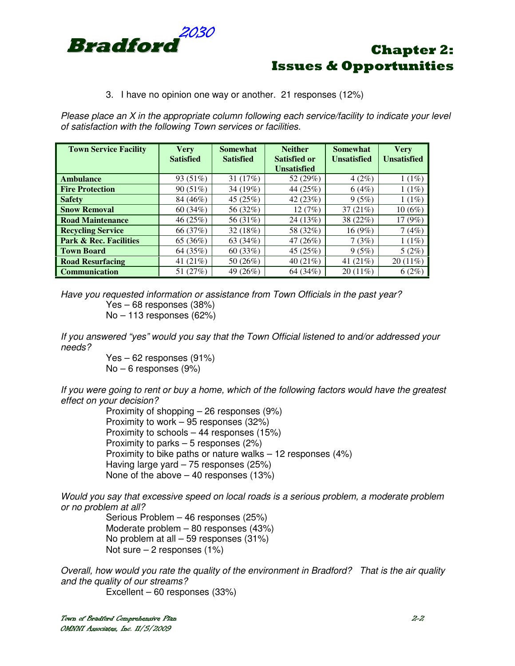

#### 3. I have no opinion one way or another. 21 responses (12%)

Please place an X in the appropriate column following each service/facility to indicate your level of satisfaction with the following Town services or facilities.

| <b>Town Service Facility</b>      | <b>Very</b><br><b>Satisfied</b> | Somewhat<br><b>Satisfied</b> | <b>Neither</b><br><b>Satisfied or</b><br><b>Unsatisfied</b> | <b>Somewhat</b><br><b>Unsatisfied</b> | <b>Very</b><br><b>Unsatisfied</b> |
|-----------------------------------|---------------------------------|------------------------------|-------------------------------------------------------------|---------------------------------------|-----------------------------------|
| <b>Ambulance</b>                  | 93 (51%)                        | 31 $(17%)$                   | 52 (29%)                                                    | 4(2%)                                 | $1(1\%)$                          |
| <b>Fire Protection</b>            | 90(51%)                         | 34 (19%)                     | 44 (25%)                                                    | 6(4%)                                 | 1(1%)                             |
| <b>Safety</b>                     | 84 (46%)                        | 45 $(25%)$                   | 42 $(23%)$                                                  | 9(5%)                                 | 1(1%)                             |
| <b>Snow Removal</b>               | 60(34%)                         | 56 (32%)                     | 12(7%)                                                      | 37 $(21%)$                            | $10(6\%)$                         |
| <b>Road Maintenance</b>           | 46(25%)                         | 56 (31%)                     | 24 (13%)                                                    | 38 (22%)                              | 17(9%)                            |
| <b>Recycling Service</b>          | 66 (37%)                        | 32(18%)                      | 58 (32%)                                                    | 16(9%)                                | 7(4%)                             |
| <b>Park &amp; Rec. Facilities</b> | 65 (36%)                        | 63 (34%)                     | 47 $(26%)$                                                  | 7(3%)                                 | $1(1\%)$                          |
| <b>Town Board</b>                 | 64 (35%)                        | 60(33%)                      | 45 $(25%)$                                                  | 9(5%)                                 | 5(2%)                             |
| <b>Road Resurfacing</b>           | 41 $(21%)$                      | 50 (26%)                     | 40 $(21\%)$                                                 | 41 $(21%)$                            | $20(11\%)$                        |
| <b>Communication</b>              | 51 (27%)                        | 49 (26%)                     | 64 (34%)                                                    | $20(11\%)$                            | 6(2%)                             |

Have you requested information or assistance from Town Officials in the past year? Yes – 68 responses (38%) No – 113 responses (62%)

If you answered "yes" would you say that the Town Official listened to and/or addressed your needs?

> Yes – 62 responses (91%) No – 6 responses (9%)

If you were going to rent or buy a home, which of the following factors would have the greatest effect on your decision?

Proximity of shopping – 26 responses (9%) Proximity to work – 95 responses (32%) Proximity to schools – 44 responses (15%) Proximity to parks – 5 responses (2%) Proximity to bike paths or nature walks – 12 responses (4%) Having large yard – 75 responses (25%) None of the above – 40 responses (13%)

Would you say that excessive speed on local roads is a serious problem, a moderate problem or no problem at all?

> Serious Problem – 46 responses (25%) Moderate problem – 80 responses (43%) No problem at all – 59 responses (31%) Not sure  $-2$  responses (1%)

Overall, how would you rate the quality of the environment in Bradford? That is the air quality and the quality of our streams?

Excellent – 60 responses (33%)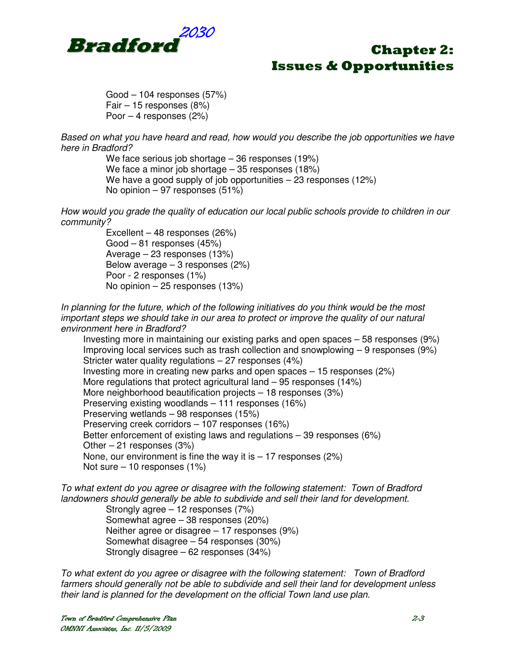

 Good – 104 responses (57%) Fair – 15 responses (8%) Poor – 4 responses (2%)

Based on what you have heard and read, how would you describe the job opportunities we have here in Bradford?

> We face serious job shortage – 36 responses (19%) We face a minor job shortage – 35 responses (18%) We have a good supply of job opportunities – 23 responses (12%) No opinion – 97 responses (51%)

How would you grade the quality of education our local public schools provide to children in our community?

> Excellent – 48 responses (26%) Good – 81 responses (45%) Average – 23 responses (13%) Below average  $-3$  responses (2%) Poor - 2 responses (1%) No opinion – 25 responses (13%)

In planning for the future, which of the following initiatives do you think would be the most important steps we should take in our area to protect or improve the quality of our natural environment here in Bradford?

Investing more in maintaining our existing parks and open spaces – 58 responses (9%) Improving local services such as trash collection and snowplowing – 9 responses (9%) Stricter water quality regulations – 27 responses (4%) Investing more in creating new parks and open spaces – 15 responses (2%) More regulations that protect agricultural land – 95 responses (14%) More neighborhood beautification projects – 18 responses (3%) Preserving existing woodlands – 111 responses (16%) Preserving wetlands – 98 responses (15%) Preserving creek corridors – 107 responses (16%) Better enforcement of existing laws and regulations – 39 responses (6%) Other – 21 responses (3%) None, our environment is fine the way it is  $-17$  responses (2%) Not sure – 10 responses (1%)

To what extent do you agree or disagree with the following statement: Town of Bradford landowners should generally be able to subdivide and sell their land for development.

 Strongly agree – 12 responses (7%) Somewhat agree – 38 responses (20%) Neither agree or disagree – 17 responses (9%) Somewhat disagree – 54 responses (30%) Strongly disagree – 62 responses (34%)

To what extent do you agree or disagree with the following statement: Town of Bradford farmers should generally not be able to subdivide and sell their land for development unless their land is planned for the development on the official Town land use plan.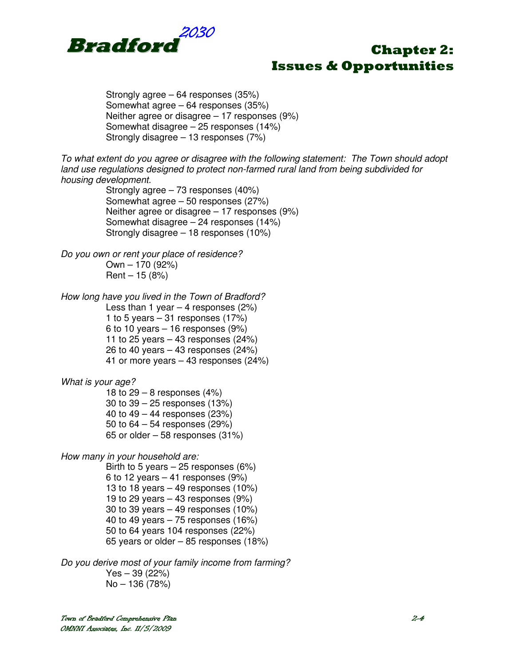

Strongly agree – 64 responses (35%) Somewhat agree – 64 responses (35%) Neither agree or disagree – 17 responses (9%) Somewhat disagree – 25 responses (14%) Strongly disagree – 13 responses (7%)

To what extent do you agree or disagree with the following statement: The Town should adopt land use regulations designed to protect non-farmed rural land from being subdivided for housing development.

Strongly agree – 73 responses (40%) Somewhat agree – 50 responses (27%) Neither agree or disagree – 17 responses (9%) Somewhat disagree – 24 responses (14%) Strongly disagree – 18 responses (10%)

Do you own or rent your place of residence? Own – 170 (92%)  $Rent - 15 (8%)$ 

How long have you lived in the Town of Bradford? Less than 1 year  $-$  4 responses (2%) 1 to 5 years  $-31$  responses (17%) 6 to 10 years – 16 responses (9%) 11 to 25 years  $-$  43 responses (24%) 26 to 40 years  $-$  43 responses (24%) 41 or more years – 43 responses (24%)

What is your age?

18 to  $29 - 8$  responses  $(4%)$  30 to 39 – 25 responses (13%) 40 to 49 – 44 responses (23%) 50 to 64 – 54 responses (29%) 65 or older – 58 responses (31%)

How many in your household are:

Birth to 5 years  $-25$  responses (6%) 6 to 12 years  $-$  41 responses (9%) 13 to 18 years  $-$  49 responses (10%) 19 to 29 years  $-$  43 responses  $(9\%)$  30 to 39 years – 49 responses (10%) 40 to 49 years – 75 responses (16%) 50 to 64 years 104 responses (22%) 65 years or older – 85 responses (18%)

Do you derive most of your family income from farming? Yes – 39 (22%) No – 136 (78%)

Town of Bradford Comprehensive Plan Comprehensive  $2-4$ OMNNI Associates, Inc. 11/5/2009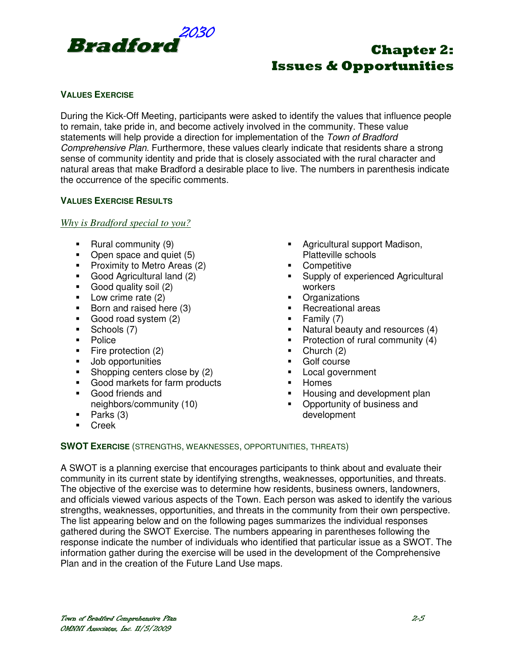

### **VALUES EXERCISE**

During the Kick-Off Meeting, participants were asked to identify the values that influence people to remain, take pride in, and become actively involved in the community. These value statements will help provide a direction for implementation of the Town of Bradford Comprehensive Plan. Furthermore, these values clearly indicate that residents share a strong sense of community identity and pride that is closely associated with the rural character and natural areas that make Bradford a desirable place to live. The numbers in parenthesis indicate the occurrence of the specific comments.

### **VALUES EXERCISE RESULTS**

*Why is Bradford special to you?*

- Rural community (9)
- Open space and quiet (5)
- **Proximity to Metro Areas (2)**
- Good Agricultural land (2)
- Good quality soil (2)
- Low crime rate (2)
- Born and raised here (3)
- Good road system (2)
- Schools (7)
- Police
- Fire protection  $(2)$
- **Job opportunities**
- Shopping centers close by (2)
- Good markets for farm products
- Good friends and neighbors/community (10)
- $\blacksquare$  Parks (3)
- Creek
- **-** Agricultural support Madison, Platteville schools
- **Competitive**
- **Supply of experienced Agricultural** workers
- **Organizations**
- Recreational areas
- $\blacksquare$  Family (7)
- Natural beauty and resources (4)
- Protection of rural community  $(4)$
- $\blacksquare$  Church (2)
- Golf course
- **Local government**
- **Homes**
- Housing and development plan
- Opportunity of business and development

### **SWOT EXERCISE** (STRENGTHS, WEAKNESSES, OPPORTUNITIES, THREATS)

A SWOT is a planning exercise that encourages participants to think about and evaluate their community in its current state by identifying strengths, weaknesses, opportunities, and threats. The objective of the exercise was to determine how residents, business owners, landowners, and officials viewed various aspects of the Town. Each person was asked to identify the various strengths, weaknesses, opportunities, and threats in the community from their own perspective. The list appearing below and on the following pages summarizes the individual responses gathered during the SWOT Exercise. The numbers appearing in parentheses following the response indicate the number of individuals who identified that particular issue as a SWOT. The information gather during the exercise will be used in the development of the Comprehensive Plan and in the creation of the Future Land Use maps.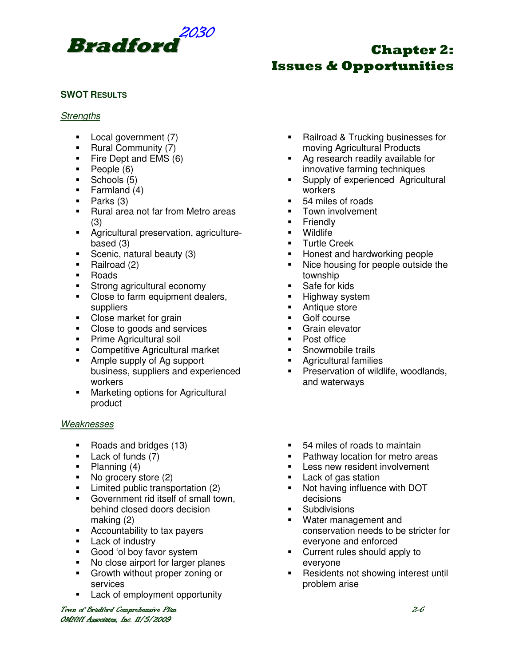

### **SWOT RESULTS**

#### **Strengths**

- **Local government (7)**
- Rural Community (7)
- Fire Dept and EMS (6)
- $\blacksquare$  People  $(6)$
- **Schools (5)**
- $\blacksquare$  Farmland (4)
- $\blacksquare$  Parks (3)
- **Rural area not far from Metro areas** (3)
- Agricultural preservation, agriculturebased (3)
- Scenic, natural beauty (3)
- Railroad (2)
- **-** Roads
- **Strong agricultural economy**
- Close to farm equipment dealers, suppliers
- Close market for grain
- Close to goods and services
- **Prime Agricultural soil**
- **EXECOMPETE COMPETE COMPETER COMPETER**
- **Ample supply of Ag support** business, suppliers and experienced workers
- **Marketing options for Agricultural** product

### Weaknesses

- Roads and bridges (13)
- **Lack of funds (7)**
- $\blacksquare$  Planning (4)
- No grocery store (2)
- **Limited public transportation (2)**
- **Government rid itself of small town,** behind closed doors decision making (2)
- Accountability to tax payers
- **Lack of industry**
- Good 'ol boy favor system
- No close airport for larger planes
- **Growth without proper zoning or** services
- **Lack of employment opportunity**

Town of Bradford Comprehensive Plan Comprehensive Plan Company Company Company Company Company Company Company OMNNI Associates, Inc. 11/5/2009

- Railroad & Trucking businesses for moving Agricultural Products
- Ag research readily available for innovative farming techniques
- **Supply of experienced Agricultural** workers
- 54 miles of roads
- Town involvement
- Friendly
- **•** Wildlife
- **Turtle Creek**
- **Honest and hardworking people**
- Nice housing for people outside the township
- **Safe for kids**
- **Highway system**
- **-** Antique store
- **Golf course**
- Grain elevator<br>• Post office
- Post office
- **Snowmobile trails**
- Agricultural families
- **Preservation of wildlife, woodlands,** and waterways
- 54 miles of roads to maintain
- Pathway location for metro areas
- **Less new resident involvement**
- **Lack of gas station**
- Not having influence with DOT decisions
- Subdivisions
- Water management and conservation needs to be stricter for everyone and enforced
- Current rules should apply to everyone
- Residents not showing interest until problem arise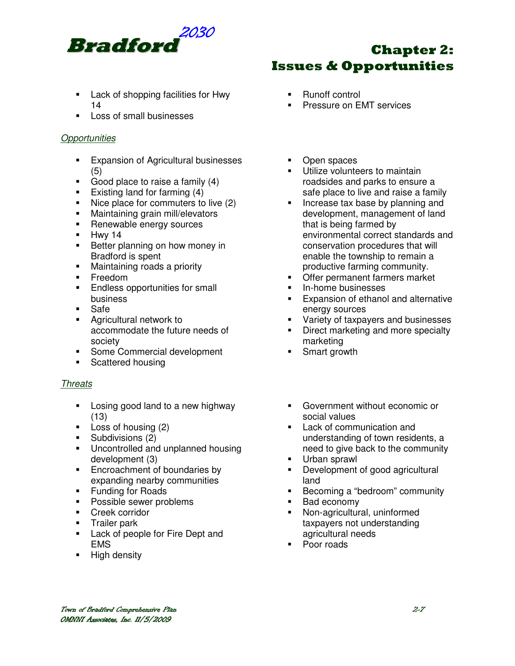

- **Lack of shopping facilities for Hwy** 14
- **Loss of small businesses**

### **Opportunities**

- **Expansion of Agricultural businesses** (5)
- Good place to raise a family (4)
- Existing land for farming  $(4)$
- Nice place for commuters to live (2)
- **•** Maintaining grain mill/elevators
- **Renewable energy sources**
- $-Hwy 14$
- Better planning on how money in Bradford is spent
- **Maintaining roads a priority**
- **Freedom**
- **Endless opportunities for small** business
- Safe
- **Agricultural network to** accommodate the future needs of society
- **Some Commercial development**
- **Scattered housing**

### **Threats**

- **Example 1** Losing good land to a new highway (13)
- **Loss of housing (2)**
- **Subdivisions (2)**
- **Uncontrolled and unplanned housing** development (3)
- **Encroachment of boundaries by** expanding nearby communities
- **Funding for Roads**
- **Possible sewer problems**
- **Creek corridor**
- **Trailer park**
- **Lack of people for Fire Dept and** EMS
- High density

# Chapter 2: Issues & Opportunities

- Runoff control
- Pressure on EMT services
- Open spaces
- Utilize volunteers to maintain roadsides and parks to ensure a safe place to live and raise a family
- Increase tax base by planning and development, management of land that is being farmed by environmental correct standards and conservation procedures that will enable the township to remain a productive farming community.
- Offer permanent farmers market
- In-home businesses
- **Expansion of ethanol and alternative** energy sources
- **Variety of taxpayers and businesses**
- Direct marketing and more specialty marketing
- Smart growth
- Government without economic or social values
- Lack of communication and understanding of town residents, a need to give back to the community
- Urban sprawl
- **Development of good agricultural** land
- Becoming a "bedroom" community
- Bad economy
- Non-agricultural, uninformed taxpayers not understanding agricultural needs
- Poor roads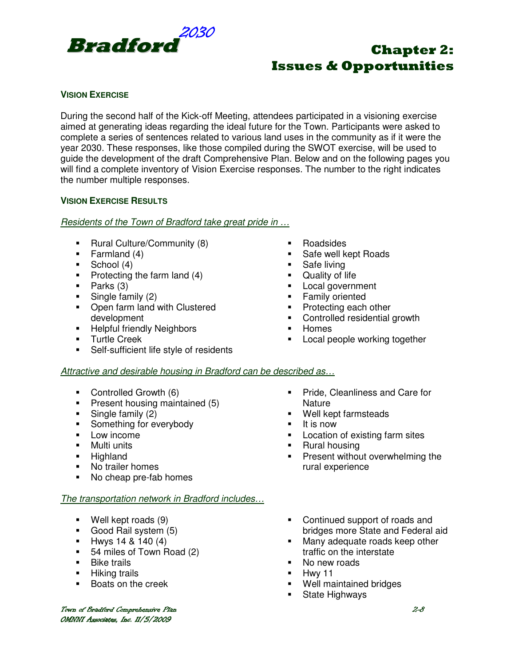

### **VISION EXERCISE**

During the second half of the Kick-off Meeting, attendees participated in a visioning exercise aimed at generating ideas regarding the ideal future for the Town. Participants were asked to complete a series of sentences related to various land uses in the community as if it were the year 2030. These responses, like those compiled during the SWOT exercise, will be used to guide the development of the draft Comprehensive Plan. Below and on the following pages you will find a complete inventory of Vision Exercise responses. The number to the right indicates the number multiple responses.

### **VISION EXERCISE RESULTS**

### Residents of the Town of Bradford take great pride in …

- **Rural Culture/Community (8)**
- $\blacksquare$  Farmland (4)
- $\blacksquare$  School (4)
- Protecting the farm land  $(4)$
- $\blacksquare$  Parks (3)
- $\blacksquare$  Single family (2)
- **Open farm land with Clustered** development
- **-** Helpful friendly Neighbors
- **Turtle Creek**
- Self-sufficient life style of residents
- Roadsides
- **Safe well kept Roads**
- Safe living
- **-** Quality of life
- **Local government**
- **Family oriented**
- Protecting each other

Well kept farmsteads

rural experience

- Controlled residential growth
- **-** Homes

**Nature** 

It is now

**Rural housing** 

**Local people working together** 

**Pride, Cleanliness and Care for** 

**Location of existing farm sites** 

### Attractive and desirable housing in Bradford can be described as…

- Controlled Growth (6)
- **Present housing maintained (5)**
- $\blacksquare$  Single family (2)
- Something for everybody
- **Low income**
- **•** Multi units
- **-** Highland
- No trailer homes
- No cheap pre-fab homes

### The transportation network in Bradford includes…

- Well kept roads (9)
- Good Rail system (5)
- $Hwys 14 & 140 (4)$
- 54 miles of Town Road (2)
- **Bike trails**
- **Hiking trails**
- **Boats on the creek**

• Continued support of roads and

**Present without overwhelming the** 

- bridges more State and Federal aid **Many adequate roads keep other**
- traffic on the interstate
- No new roads
- $-Hwy 11$
- Well maintained bridges
- **State Highways**

Town of Bradford Comprehensive Plan Comprehensive Plan Company Company Company Company Company Company Company OMNNI Associates, Inc. 11/5/2009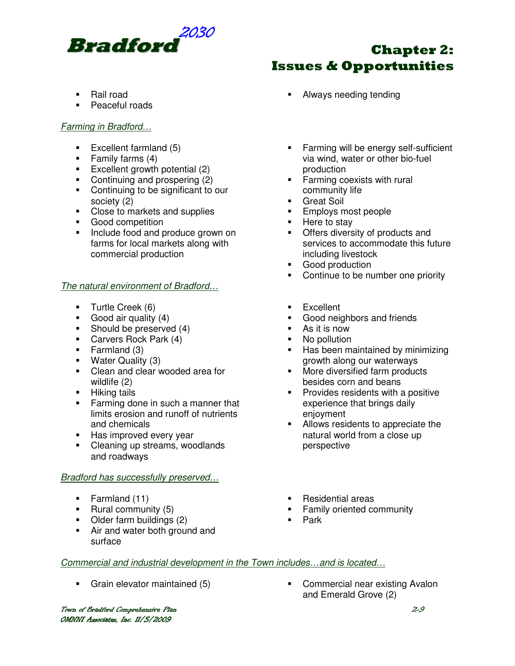

### ■ Rail road

**Peaceful roads** 

### Farming in Bradford…

- $\blacksquare$  Excellent farmland (5)
- $\blacksquare$  Family farms (4)
- Excellent growth potential  $(2)$
- Continuing and prospering (2)
- Continuing to be significant to our society (2)
- Close to markets and supplies
- **Good competition**
- Include food and produce grown on farms for local markets along with commercial production

### The natural environment of Bradford...

- **Turtle Creek (6)**
- Good air quality (4)
- Should be preserved  $(4)$
- **Carvers Rock Park (4)**
- Farmland (3)
- **Water Quality (3)**
- Clean and clear wooded area for wildlife (2)
- **Hiking tails**
- **Farming done in such a manner that** limits erosion and runoff of nutrients and chemicals
- Has improved every year
- Cleaning up streams, woodlands and roadways

#### Bradford has successfully preserved…

- Farmland (11)
- **Rural community (5)**
- Older farm buildings (2)
- Air and water both ground and surface
- Always needing tending
- Farming will be energy self-sufficient via wind, water or other bio-fuel production
- **Farming coexists with rural** community life
- **Great Soil**
- **Employs most people**
- Here to stay
- **•** Offers diversity of products and services to accommodate this future including livestock
- **Good production**
- Continue to be number one priority
- **Excellent**
- **Good neighbors and friends**
- As it is now
- No pollution
- **Has been maintained by minimizing** growth along our waterways
- **More diversified farm products** besides corn and beans
- **Provides residents with a positive** experience that brings daily enjoyment
- Allows residents to appreciate the natural world from a close up perspective
- Residential areas
- **Family oriented community**
- Park

#### Commercial and industrial development in the Town includes…and is located…

Town of Bradford Comprehensive Plan Comprehensive Plan Company Company Company Company Company Company Company OMNNI Associates, Inc. 11/5/2009

 Grain elevator maintained (5) Commercial near existing Avalon and Emerald Grove (2)

# Chapter 2: Issues & Opportunities